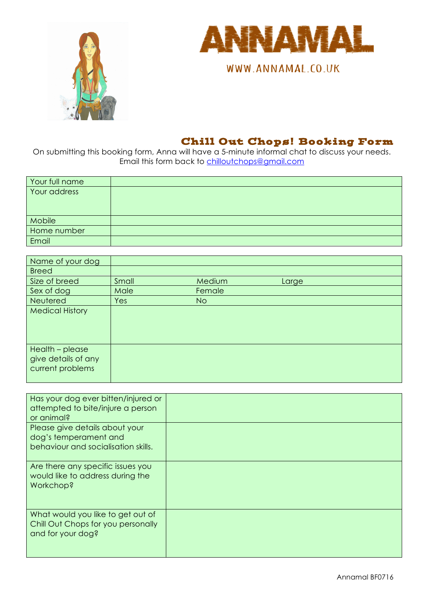



WWW.ANNAMAL.CO.UK

## Chill Out Chops! Booking Form

On submitting this booking form, Anna will have a 5-minute informal chat to discuss your needs. Email this form back to chilloutchops@gmail.com

| Your full name |  |
|----------------|--|
| Your address   |  |
|                |  |
|                |  |
| Mobile         |  |
| Home number    |  |
| Email          |  |

| Name of your dog                                           |       |                |       |
|------------------------------------------------------------|-------|----------------|-------|
| <b>Breed</b>                                               |       |                |       |
| Size of breed                                              | Small | Medium         | Large |
| Sex of dog                                                 | Male  | Female         |       |
| Neutered                                                   | Yes   | N <sub>O</sub> |       |
| <b>Medical History</b>                                     |       |                |       |
| Health - please<br>give details of any<br>current problems |       |                |       |

| Has your dog ever bitten/injured or<br>attempted to bite/injure a person<br>or animal?         |  |
|------------------------------------------------------------------------------------------------|--|
| Please give details about your<br>dog's temperament and<br>behaviour and socialisation skills. |  |
| Are there any specific issues you<br>would like to address during the<br>Workchop?             |  |
| What would you like to get out of<br>Chill Out Chops for you personally<br>and for your dog?   |  |